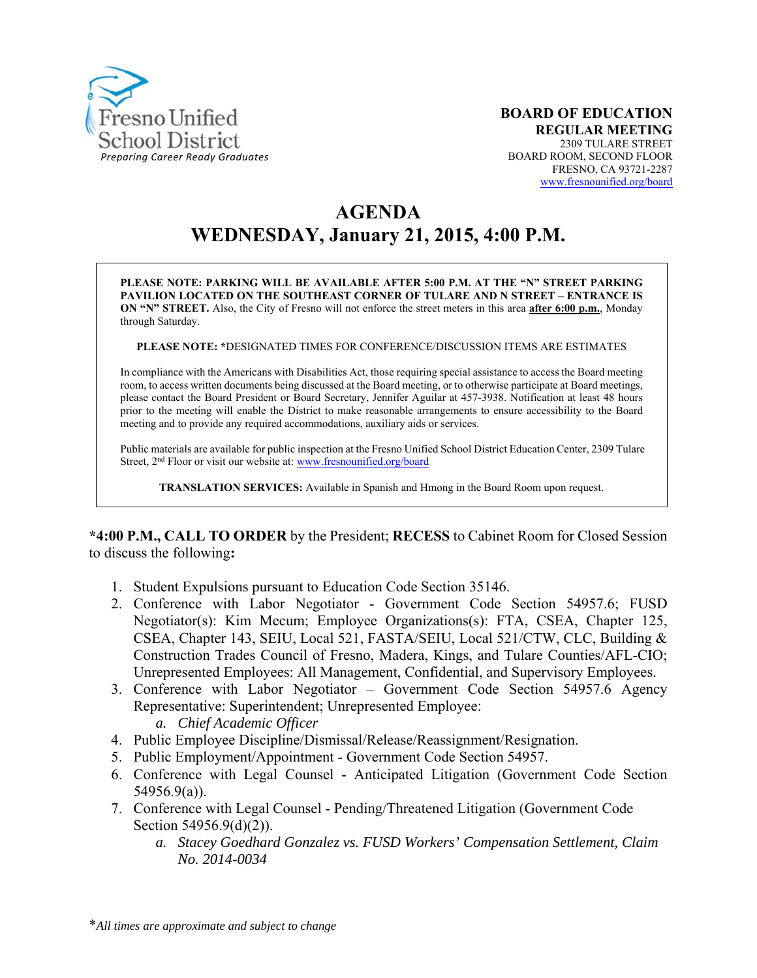

# **AGENDA WEDNESDAY, January 21, 2015, 4:00 P.M.**

**PLEASE NOTE: PARKING WILL BE AVAILABLE AFTER 5:00 P.M. AT THE "N" STREET PARKING PAVILION LOCATED ON THE SOUTHEAST CORNER OF TULARE AND N STREET – ENTRANCE IS ON "N" STREET.** Also, the City of Fresno will not enforce the street meters in this area **after 6:00 p.m.**, Monday through Saturday.

**PLEASE NOTE: \***DESIGNATED TIMES FOR CONFERENCE/DISCUSSION ITEMS ARE ESTIMATES

In compliance with the Americans with Disabilities Act, those requiring special assistance to access the Board meeting room, to access written documents being discussed at the Board meeting, or to otherwise participate at Board meetings, please contact the Board President or Board Secretary, Jennifer Aguilar at 457-3938. Notification at least 48 hours prior to the meeting will enable the District to make reasonable arrangements to ensure accessibility to the Board meeting and to provide any required accommodations, auxiliary aids or services.

Public materials are available for public inspection at the Fresno Unified School District Education Center, 2309 Tulare Street, 2<sup>nd</sup> Floor or visit our website at: www.fresnounified.org/board

**TRANSLATION SERVICES:** Available in Spanish and Hmong in the Board Room upon request.

**\*4:00 P.M., CALL TO ORDER** by the President; **RECESS** to Cabinet Room for Closed Session to discuss the following**:** 

- 1. Student Expulsions pursuant to Education Code Section 35146.
- 2. Conference with Labor Negotiator Government Code Section 54957.6; FUSD Negotiator(s): Kim Mecum; Employee Organizations(s): FTA, CSEA, Chapter 125, CSEA, Chapter 143, SEIU, Local 521, FASTA/SEIU, Local 521/CTW, CLC, Building & Construction Trades Council of Fresno, Madera, Kings, and Tulare Counties/AFL-CIO; Unrepresented Employees: All Management, Confidential, and Supervisory Employees.
- 3. Conference with Labor Negotiator Government Code Section 54957.6 Agency Representative: Superintendent; Unrepresented Employee:
	- *a. Chief Academic Officer*
- 4. Public Employee Discipline/Dismissal/Release/Reassignment/Resignation.
- 5. Public Employment/Appointment Government Code Section 54957.
- 6. Conference with Legal Counsel Anticipated Litigation (Government Code Section 54956.9(a)).
- 7. Conference with Legal Counsel Pending/Threatened Litigation (Government Code Section 54956.9(d)(2)).
	- *a. Stacey Goedhard Gonzalez vs. FUSD Workers' Compensation Settlement, Claim No. 2014-0034*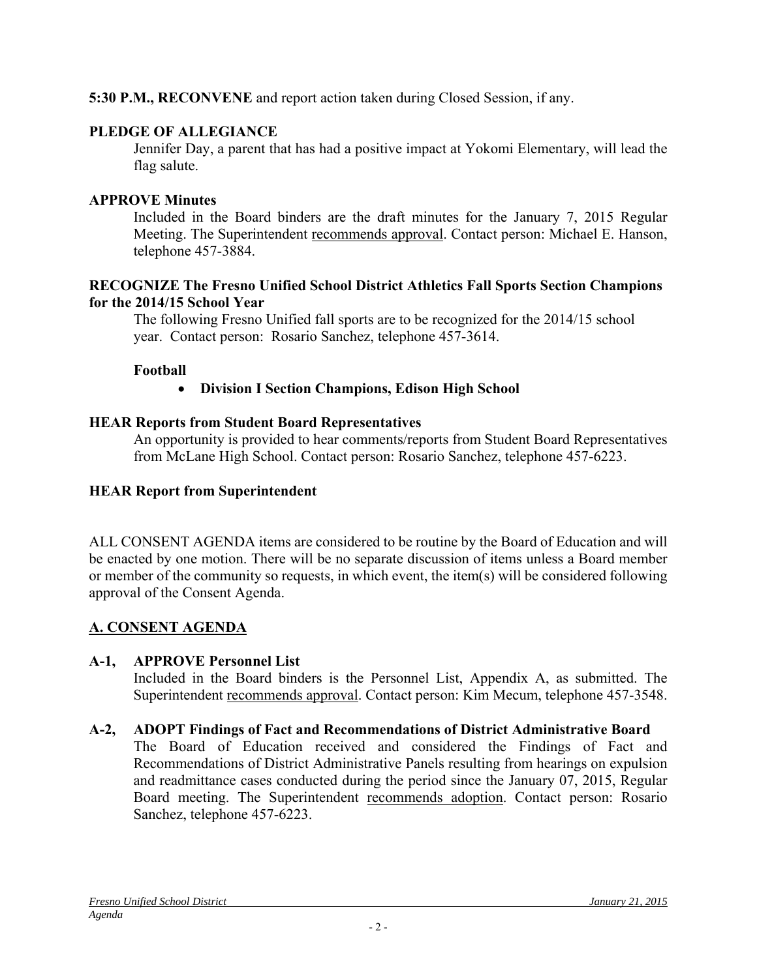# **5:30 P.M., RECONVENE** and report action taken during Closed Session, if any.

# **PLEDGE OF ALLEGIANCE**

Jennifer Day, a parent that has had a positive impact at Yokomi Elementary, will lead the flag salute.

# **APPROVE Minutes**

Included in the Board binders are the draft minutes for the January 7, 2015 Regular Meeting. The Superintendent recommends approval. Contact person: Michael E. Hanson, telephone 457-3884.

#### **RECOGNIZE The Fresno Unified School District Athletics Fall Sports Section Champions for the 2014/15 School Year**

The following Fresno Unified fall sports are to be recognized for the 2014/15 school year. Contact person: Rosario Sanchez, telephone 457-3614.

#### **Football**

**Division I Section Champions, Edison High School** 

#### **HEAR Reports from Student Board Representatives**

An opportunity is provided to hear comments/reports from Student Board Representatives from McLane High School. Contact person: Rosario Sanchez, telephone 457-6223.

### **HEAR Report from Superintendent**

ALL CONSENT AGENDA items are considered to be routine by the Board of Education and will be enacted by one motion. There will be no separate discussion of items unless a Board member or member of the community so requests, in which event, the item(s) will be considered following approval of the Consent Agenda.

# **A. CONSENT AGENDA**

# **A-1, APPROVE Personnel List**

Included in the Board binders is the Personnel List, Appendix A, as submitted. The Superintendent recommends approval. Contact person: Kim Mecum, telephone 457-3548.

# **A-2, ADOPT Findings of Fact and Recommendations of District Administrative Board**

The Board of Education received and considered the Findings of Fact and Recommendations of District Administrative Panels resulting from hearings on expulsion and readmittance cases conducted during the period since the January 07, 2015, Regular Board meeting. The Superintendent recommends adoption. Contact person: Rosario Sanchez, telephone 457-6223.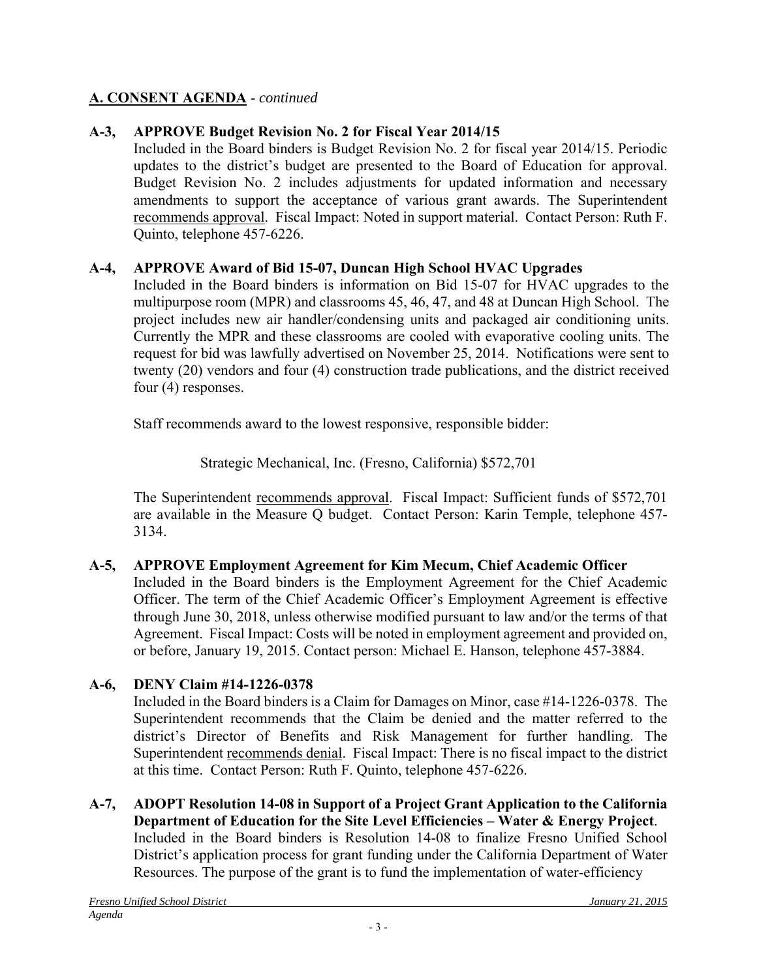# **A. CONSENT AGENDA** - *continued*

# **A-3, APPROVE Budget Revision No. 2 for Fiscal Year 2014/15**

Included in the Board binders is Budget Revision No. 2 for fiscal year 2014/15. Periodic updates to the district's budget are presented to the Board of Education for approval. Budget Revision No. 2 includes adjustments for updated information and necessary amendments to support the acceptance of various grant awards. The Superintendent recommends approval. Fiscal Impact: Noted in support material. Contact Person: Ruth F. Quinto, telephone 457-6226.

# **A-4, APPROVE Award of Bid 15-07, Duncan High School HVAC Upgrades**

Included in the Board binders is information on Bid 15-07 for HVAC upgrades to the multipurpose room (MPR) and classrooms 45, 46, 47, and 48 at Duncan High School. The project includes new air handler/condensing units and packaged air conditioning units. Currently the MPR and these classrooms are cooled with evaporative cooling units. The request for bid was lawfully advertised on November 25, 2014. Notifications were sent to twenty (20) vendors and four (4) construction trade publications, and the district received four (4) responses.

Staff recommends award to the lowest responsive, responsible bidder:

Strategic Mechanical, Inc. (Fresno, California) \$572,701

The Superintendent recommends approval. Fiscal Impact: Sufficient funds of \$572,701 are available in the Measure Q budget. Contact Person: Karin Temple, telephone 457- 3134.

# **A-5, APPROVE Employment Agreement for Kim Mecum, Chief Academic Officer**

Included in the Board binders is the Employment Agreement for the Chief Academic Officer. The term of the Chief Academic Officer's Employment Agreement is effective through June 30, 2018, unless otherwise modified pursuant to law and/or the terms of that Agreement. Fiscal Impact: Costs will be noted in employment agreement and provided on, or before, January 19, 2015. Contact person: Michael E. Hanson, telephone 457-3884.

# **A-6, DENY Claim #14-1226-0378**

Included in the Board binders is a Claim for Damages on Minor, case #14-1226-0378. The Superintendent recommends that the Claim be denied and the matter referred to the district's Director of Benefits and Risk Management for further handling. The Superintendent recommends denial. Fiscal Impact: There is no fiscal impact to the district at this time. Contact Person: Ruth F. Quinto, telephone 457-6226.

**A-7, ADOPT Resolution 14-08 in Support of a Project Grant Application to the California Department of Education for the Site Level Efficiencies – Water & Energy Project**. Included in the Board binders is Resolution 14-08 to finalize Fresno Unified School District's application process for grant funding under the California Department of Water Resources. The purpose of the grant is to fund the implementation of water-efficiency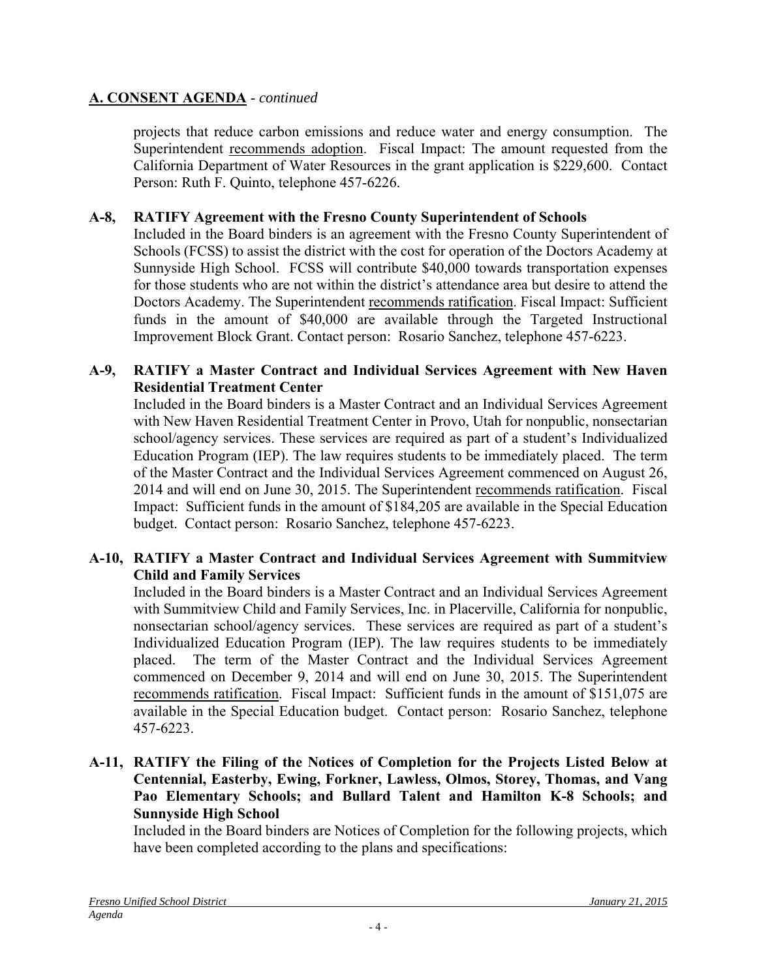# **A. CONSENT AGENDA** - *continued*

projects that reduce carbon emissions and reduce water and energy consumption. The Superintendent recommends adoption. Fiscal Impact: The amount requested from the California Department of Water Resources in the grant application is \$229,600. Contact Person: Ruth F. Quinto, telephone 457-6226.

# **A-8, RATIFY Agreement with the Fresno County Superintendent of Schools**

Included in the Board binders is an agreement with the Fresno County Superintendent of Schools (FCSS) to assist the district with the cost for operation of the Doctors Academy at Sunnyside High School. FCSS will contribute \$40,000 towards transportation expenses for those students who are not within the district's attendance area but desire to attend the Doctors Academy. The Superintendent recommends ratification. Fiscal Impact: Sufficient funds in the amount of \$40,000 are available through the Targeted Instructional Improvement Block Grant. Contact person: Rosario Sanchez, telephone 457-6223.

# **A-9, RATIFY a Master Contract and Individual Services Agreement with New Haven Residential Treatment Center**

Included in the Board binders is a Master Contract and an Individual Services Agreement with New Haven Residential Treatment Center in Provo, Utah for nonpublic, nonsectarian school/agency services. These services are required as part of a student's Individualized Education Program (IEP). The law requires students to be immediately placed. The term of the Master Contract and the Individual Services Agreement commenced on August 26, 2014 and will end on June 30, 2015. The Superintendent recommends ratification. Fiscal Impact: Sufficient funds in the amount of \$184,205 are available in the Special Education budget. Contact person: Rosario Sanchez, telephone 457-6223.

# **A-10, RATIFY a Master Contract and Individual Services Agreement with Summitview Child and Family Services**

Included in the Board binders is a Master Contract and an Individual Services Agreement with Summitview Child and Family Services, Inc. in Placerville, California for nonpublic, nonsectarian school/agency services. These services are required as part of a student's Individualized Education Program (IEP). The law requires students to be immediately placed. The term of the Master Contract and the Individual Services Agreement commenced on December 9, 2014 and will end on June 30, 2015. The Superintendent recommends ratification. Fiscal Impact: Sufficient funds in the amount of \$151,075 are available in the Special Education budget. Contact person: Rosario Sanchez, telephone 457-6223.

#### **A-11, RATIFY the Filing of the Notices of Completion for the Projects Listed Below at Centennial, Easterby, Ewing, Forkner, Lawless, Olmos, Storey, Thomas, and Vang Pao Elementary Schools; and Bullard Talent and Hamilton K-8 Schools; and Sunnyside High School**

Included in the Board binders are Notices of Completion for the following projects, which have been completed according to the plans and specifications: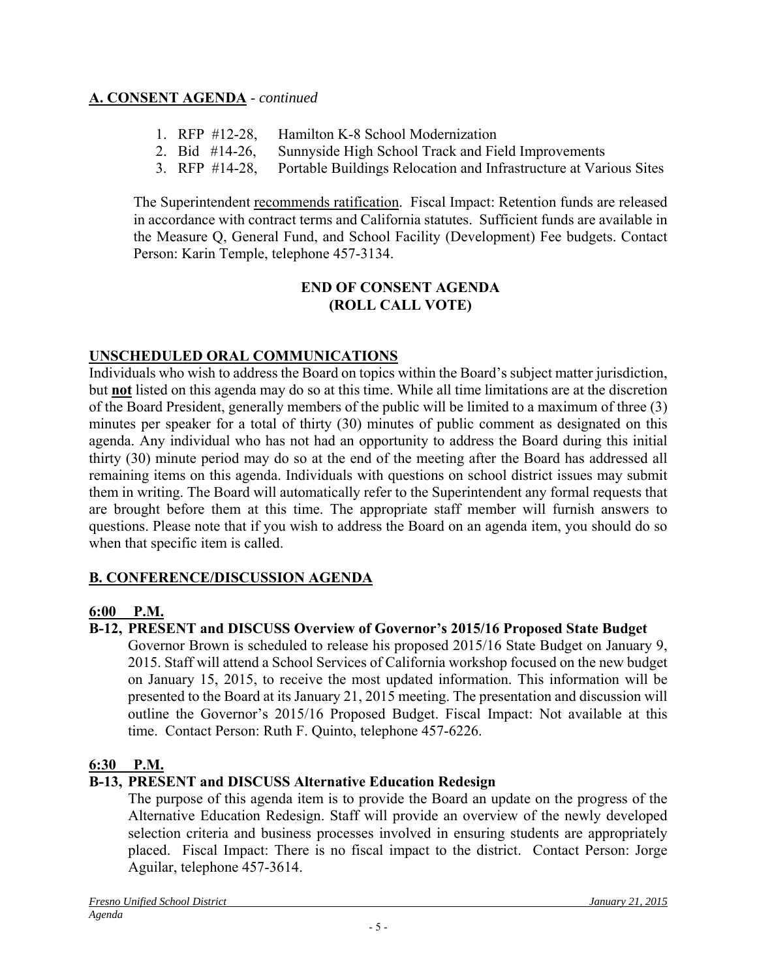# **A. CONSENT AGENDA** - *continued*

- 1. RFP #12-28, Hamilton K-8 School Modernization
- 2. Bid #14-26, Sunnyside High School Track and Field Improvements
- 3. RFP #14-28, Portable Buildings Relocation and Infrastructure at Various Sites

The Superintendent recommends ratification. Fiscal Impact: Retention funds are released in accordance with contract terms and California statutes. Sufficient funds are available in the Measure Q, General Fund, and School Facility (Development) Fee budgets. Contact Person: Karin Temple, telephone 457-3134.

#### **END OF CONSENT AGENDA (ROLL CALL VOTE)**

# **UNSCHEDULED ORAL COMMUNICATIONS**

Individuals who wish to address the Board on topics within the Board's subject matter jurisdiction, but **not** listed on this agenda may do so at this time. While all time limitations are at the discretion of the Board President, generally members of the public will be limited to a maximum of three (3) minutes per speaker for a total of thirty (30) minutes of public comment as designated on this agenda. Any individual who has not had an opportunity to address the Board during this initial thirty (30) minute period may do so at the end of the meeting after the Board has addressed all remaining items on this agenda. Individuals with questions on school district issues may submit them in writing. The Board will automatically refer to the Superintendent any formal requests that are brought before them at this time. The appropriate staff member will furnish answers to questions. Please note that if you wish to address the Board on an agenda item, you should do so when that specific item is called.

# **B. CONFERENCE/DISCUSSION AGENDA**

# **6:00 P.M.**

# **B-12, PRESENT and DISCUSS Overview of Governor's 2015/16 Proposed State Budget**

Governor Brown is scheduled to release his proposed 2015/16 State Budget on January 9, 2015. Staff will attend a School Services of California workshop focused on the new budget on January 15, 2015, to receive the most updated information. This information will be presented to the Board at its January 21, 2015 meeting. The presentation and discussion will outline the Governor's 2015/16 Proposed Budget. Fiscal Impact: Not available at this time. Contact Person: Ruth F. Quinto, telephone 457-6226.

# **6:30 P.M.**

# **B-13, PRESENT and DISCUSS Alternative Education Redesign**

The purpose of this agenda item is to provide the Board an update on the progress of the Alternative Education Redesign. Staff will provide an overview of the newly developed selection criteria and business processes involved in ensuring students are appropriately placed. Fiscal Impact: There is no fiscal impact to the district. Contact Person: Jorge Aguilar, telephone 457-3614.